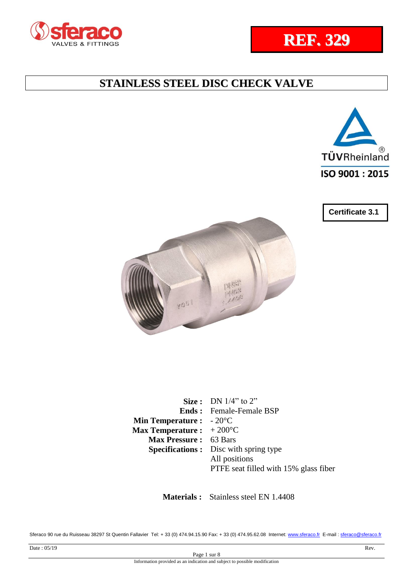





**Certificate 3.1**



|                                           | <b>Size:</b> DN $1/4$ " to 2"                 |
|-------------------------------------------|-----------------------------------------------|
|                                           | <b>Ends:</b> Female-Female BSP                |
| <b>Min Temperature :</b> $-20^{\circ}$ C  |                                               |
| <b>Max Temperature :</b> $+200^{\circ}$ C |                                               |
| <b>Max Pressure: 63 Bars</b>              |                                               |
|                                           | <b>Specifications :</b> Disc with spring type |
|                                           | All positions                                 |
|                                           | PTFE seat filled with 15% glass fiber         |

 **Materials :** Stainless steel EN 1.4408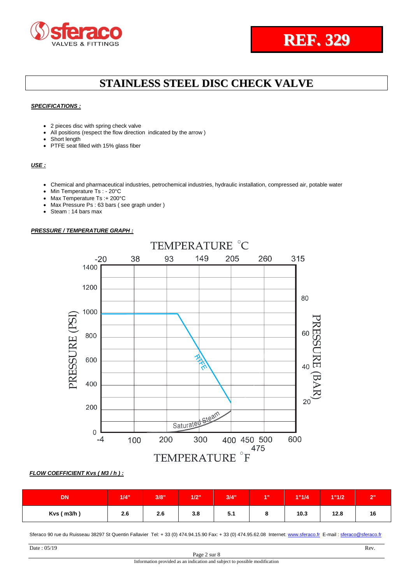

#### *SPECIFICATIONS :*

- 2 pieces disc with spring check valve
- All positions (respect the flow direction indicated by the arrow )
- Short length
- PTFE seat filled with 15% glass fiber

#### *USE :*

- Chemical and pharmaceutical industries, petrochemical industries, hydraulic installation, compressed air, potable water
- Min Temperature Ts : 20°C
- Max Temperature Ts :+ 200°C
- Max Pressure Ps : 63 bars ( see graph under )
- Steam : 14 bars max

#### *PRESSURE / TEMPERATURE GRAPH :*



#### *FLOW COEFFICIENT Kvs ( M3 / h ) :*

| <b>DN</b>  | 1/4" | 3/8" | 1/2" | 3/4" | <b>A.H.</b> | 1"1/4" | 1"1/2 | $\sim$ |
|------------|------|------|------|------|-------------|--------|-------|--------|
| Kvs (m3/h) | 2.6  | 2.6  | 3.8  | 5.1  |             | 10.3   | 12.8  | 16     |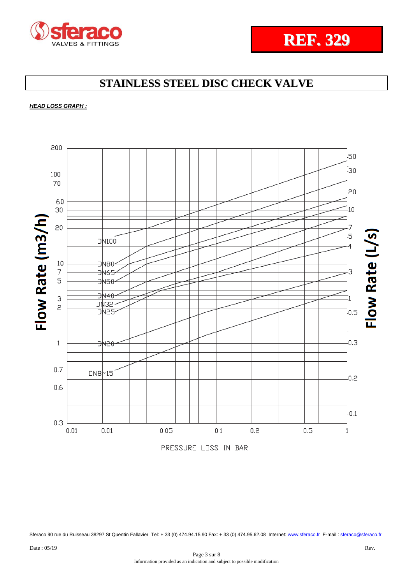

**REF. 329**

### *HEAD LOSS GRAPH :*

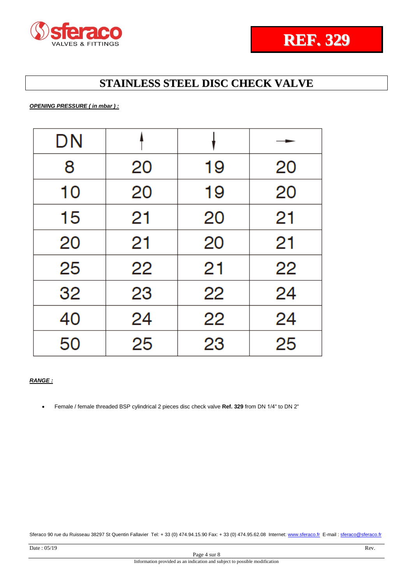



*OPENING PRESSURE ( in mbar ) :*

| DN |    |    |    |
|----|----|----|----|
| 8  | 20 | 19 | 20 |
| 10 | 20 | 19 | 20 |
| 15 | 21 | 20 | 21 |
| 20 | 21 | 20 | 21 |
| 25 | 22 | 21 | 22 |
| 32 | 23 | 22 | 24 |
| 40 | 24 | 22 | 24 |
| 50 | 25 | 23 | 25 |

### *RANGE :*

Female / female threaded BSP cylindrical 2 pieces disc check valve **Ref. 329** from DN 1/4" to DN 2"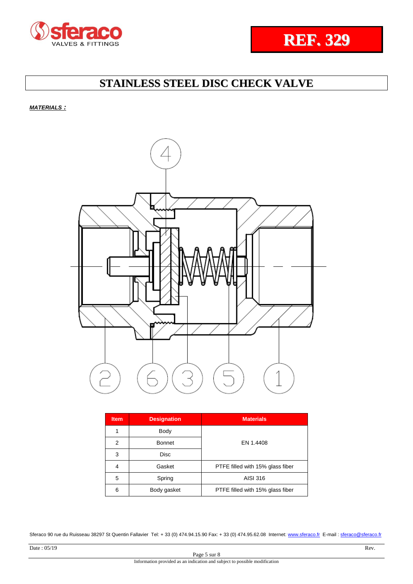



*MATERIALS :*



| <b>Item</b> | <b>Designation</b> | <b>Materials</b>                 |
|-------------|--------------------|----------------------------------|
| 1           | Body               |                                  |
| 2           | <b>Bonnet</b>      | EN 1.4408                        |
| 3           | <b>Disc</b>        |                                  |
| 4           | Gasket             | PTFE filled with 15% glass fiber |
| 5           | Spring             | AISI 316                         |
| 6           | Body gasket        | PTFE filled with 15% glass fiber |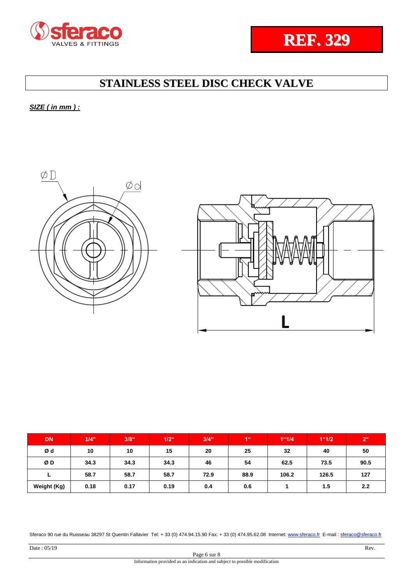



*SIZE ( in mm ) :*



| <b>DN</b>   | 1/4" | $3/8$ <sup>"</sup> | $1/2$ <sup>"</sup> | $3/4$ <sup>"</sup> | -4.66 | 1"1/4 | 1"1/2 | 2 <sup>ii</sup> |
|-------------|------|--------------------|--------------------|--------------------|-------|-------|-------|-----------------|
| Ød          | 10   | 10                 | 15                 | 20                 | 25    | 32    | 40    | 50              |
| ØD          | 34.3 | 34.3               | 34.3               | 46                 | 54    | 62.5  | 73.5  | 90.5            |
| ►           | 58.7 | 58.7               | 58.7               | 72.9               | 88.9  | 106.2 | 126.5 | 127             |
| Weight (Kg) | 0.18 | 0.17               | 0.19               | 0.4                | 0.6   |       | 1.5   | 2.2             |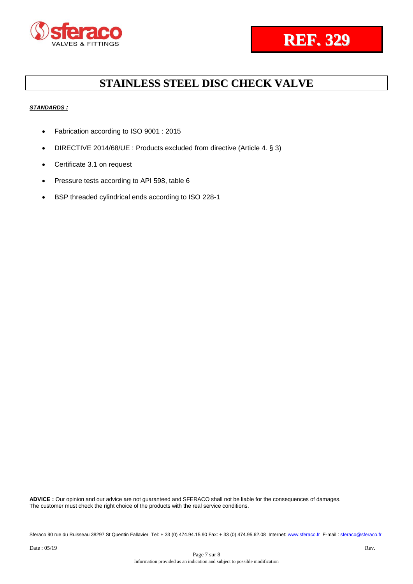



#### *STANDARDS :*

- Fabrication according to ISO 9001 : 2015
- DIRECTIVE 2014/68/UE : Products excluded from directive (Article 4. § 3)
- Certificate 3.1 on request
- Pressure tests according to API 598, table 6
- BSP threaded cylindrical ends according to ISO 228-1

**ADVICE :** Our opinion and our advice are not guaranteed and SFERACO shall not be liable for the consequences of damages. The customer must check the right choice of the products with the real service conditions.